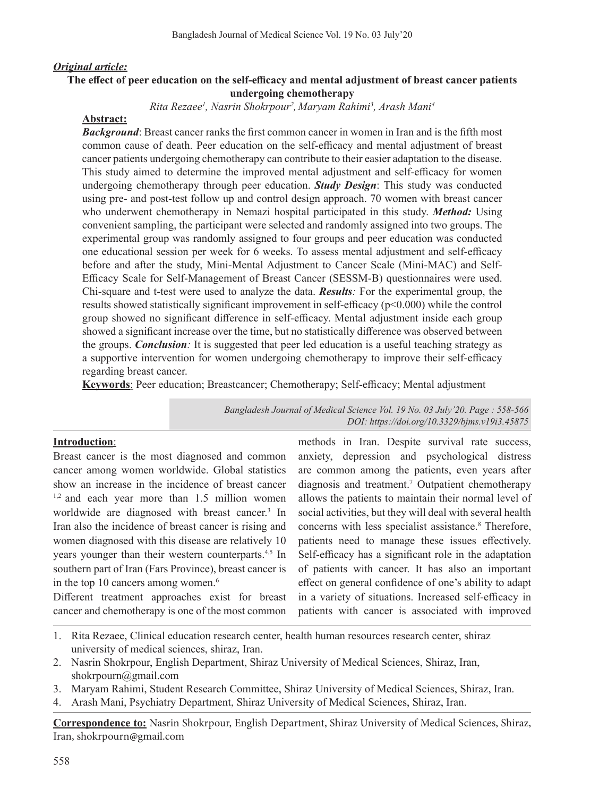#### *Original article:*

### **The effect of peer education on the self-efficacy and mental adjustment of breast cancer patients undergoing chemotherapy**

*Rita Rezaee1 , Nasrin Shokrpour2 , Maryam Rahimi3 , Arash Mani4*

#### **Abstract:**

*Background*: Breast cancer ranks the first common cancer in women in Iran and is the fifth most common cause of death. Peer education on the self-efficacy and mental adjustment of breast cancer patients undergoing chemotherapy can contribute to their easier adaptation to the disease. This study aimed to determine the improved mental adjustment and self-efficacy for women undergoing chemotherapy through peer education. *Study Design*: This study was conducted using pre- and post-test follow up and control design approach. 70 women with breast cancer who underwent chemotherapy in Nemazi hospital participated in this study. *Method:* Using convenient sampling, the participant were selected and randomly assigned into two groups. The experimental group was randomly assigned to four groups and peer education was conducted one educational session per week for 6 weeks. To assess mental adjustment and self-efficacy before and after the study, Mini-Mental Adjustment to Cancer Scale (Mini-MAC) and Self-Efficacy Scale for Self-Management of Breast Cancer (SESSM-B) questionnaires were used. Chi-square and t-test were used to analyze the data. *Results:* For the experimental group, the results showed statistically significant improvement in self-efficacy (p<0.000) while the control group showed no significant difference in self-efficacy. Mental adjustment inside each group showed a significant increase over the time, but no statistically difference was observed between the groups. *Conclusion:* It is suggested that peer led education is a useful teaching strategy as a supportive intervention for women undergoing chemotherapy to improve their self-efficacy regarding breast cancer.

**Keywords**: Peer education; Breastcancer; Chemotherapy; Self-efficacy; Mental adjustment

*Bangladesh Journal of Medical Science Vol. 19 No. 03 July'20. Page : 558-566 DOI: https://doi.org/10.3329/bjms.v19i3.45875*

## **Introduction**:

Breast cancer is the most diagnosed and common cancer among women worldwide. Global statistics show an increase in the incidence of breast cancer <sup>1,2</sup> and each year more than 1.5 million women worldwide are diagnosed with breast cancer.<sup>3</sup> In Iran also the incidence of breast cancer is rising and women diagnosed with this disease are relatively 10 years younger than their western counterparts.<sup>4,5</sup> In southern part of Iran (Fars Province), breast cancer is in the top 10 cancers among women.<sup>6</sup>

Different treatment approaches exist for breast cancer and chemotherapy is one of the most common

methods in Iran. Despite survival rate success, anxiety, depression and psychological distress are common among the patients, even years after diagnosis and treatment.<sup>7</sup> Outpatient chemotherapy allows the patients to maintain their normal level of social activities, but they will deal with several health concerns with less specialist assistance.<sup>8</sup> Therefore, patients need to manage these issues effectively. Self-efficacy has a significant role in the adaptation of patients with cancer. It has also an important effect on general confidence of one's ability to adapt in a variety of situations. Increased self-efficacy in patients with cancer is associated with improved

- 1. Rita Rezaee, Clinical education research center, health human resources research center, shiraz university of medical sciences, shiraz, Iran.
- 2. Nasrin Shokrpour, English Department, Shiraz University of Medical Sciences, Shiraz, Iran, shokrpourn@gmail.com
- 3. Maryam Rahimi, Student Research Committee, Shiraz University of Medical Sciences, Shiraz, Iran.
- 4. Arash Mani, Psychiatry Department, Shiraz University of Medical Sciences, Shiraz, Iran.

**Correspondence to:** Nasrin Shokrpour, English Department, Shiraz University of Medical Sciences, Shiraz, Iran, shokrpourn@gmail.com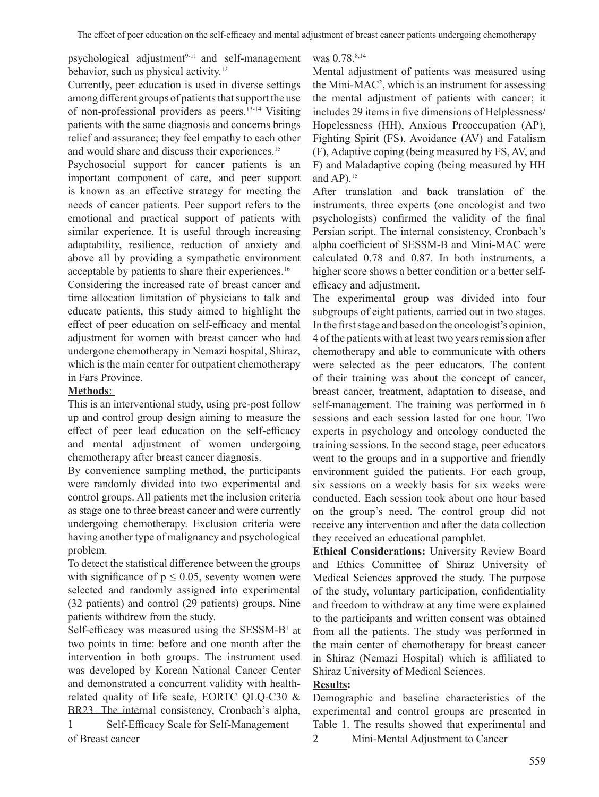psychological adjustment<sup>9-11</sup> and self-management behavior, such as physical activity.<sup>12</sup>

Currently, peer education is used in diverse settings among different groups of patients that support the use of non-professional providers as peers.13-14 Visiting patients with the same diagnosis and concerns brings relief and assurance; they feel empathy to each other and would share and discuss their experiences.<sup>15</sup>

Psychosocial support for cancer patients is an important component of care, and peer support is known as an effective strategy for meeting the needs of cancer patients. Peer support refers to the emotional and practical support of patients with similar experience. It is useful through increasing adaptability, resilience, reduction of anxiety and above all by providing a sympathetic environment acceptable by patients to share their experiences.<sup>16</sup>

Considering the increased rate of breast cancer and time allocation limitation of physicians to talk and educate patients, this study aimed to highlight the effect of peer education on self-efficacy and mental adjustment for women with breast cancer who had undergone chemotherapy in Nemazi hospital, Shiraz, which is the main center for outpatient chemotherapy in Fars Province.

## **Methods**:

This is an interventional study, using pre-post follow up and control group design aiming to measure the effect of peer lead education on the self-efficacy and mental adjustment of women undergoing chemotherapy after breast cancer diagnosis.

By convenience sampling method, the participants were randomly divided into two experimental and control groups. All patients met the inclusion criteria as stage one to three breast cancer and were currently undergoing chemotherapy. Exclusion criteria were having another type of malignancy and psychological problem.

To detect the statistical difference between the groups with significance of  $p \le 0.05$ , seventy women were selected and randomly assigned into experimental (32 patients) and control (29 patients) groups. Nine patients withdrew from the study.

Self-efficacy was measured using the SESSM-B<sup>1</sup> at two points in time: before and one month after the intervention in both groups. The instrument used was developed by Korean National Cancer Center and demonstrated a concurrent validity with healthrelated quality of life scale, EORTC QLQ-C30 & BR23. The internal consistency, Cronbach's alpha,

1 Self-Efficacy Scale for Self-Management of Breast cancer

was 0.78.<sup>8,14</sup>

Mental adjustment of patients was measured using the Mini-MAC<sup>2</sup>, which is an instrument for assessing the mental adjustment of patients with cancer; it includes 29 items in five dimensions of Helplessness/ Hopelessness (HH), Anxious Preoccupation (AP), Fighting Spirit (FS), Avoidance (AV) and Fatalism (F), Adaptive coping (being measured by FS, AV, and F) and Maladaptive coping (being measured by HH and  $AP$ ).<sup>15</sup>

After translation and back translation of the instruments, three experts (one oncologist and two psychologists) confirmed the validity of the final Persian script. The internal consistency, Cronbach's alpha coefficient of SESSM-B and Mini-MAC were calculated 0.78 and 0.87. In both instruments, a higher score shows a better condition or a better selfefficacy and adjustment.

The experimental group was divided into four subgroups of eight patients, carried out in two stages. In the first stage and based on the oncologist's opinion, 4 of the patients with at least two years remission after chemotherapy and able to communicate with others were selected as the peer educators. The content of their training was about the concept of cancer, breast cancer, treatment, adaptation to disease, and self-management. The training was performed in 6 sessions and each session lasted for one hour. Two experts in psychology and oncology conducted the training sessions. In the second stage, peer educators went to the groups and in a supportive and friendly environment guided the patients. For each group, six sessions on a weekly basis for six weeks were conducted. Each session took about one hour based on the group's need. The control group did not receive any intervention and after the data collection they received an educational pamphlet.

**Ethical Considerations:** University Review Board and Ethics Committee of Shiraz University of Medical Sciences approved the study. The purpose of the study, voluntary participation, confidentiality and freedom to withdraw at any time were explained to the participants and written consent was obtained from all the patients. The study was performed in the main center of chemotherapy for breast cancer in Shiraz (Nemazi Hospital) which is affiliated to Shiraz University of Medical Sciences.

# **Results:**

Demographic and baseline characteristics of the experimental and control groups are presented in Table 1. The results showed that experimental and

2 Mini-Mental Adjustment to Cancer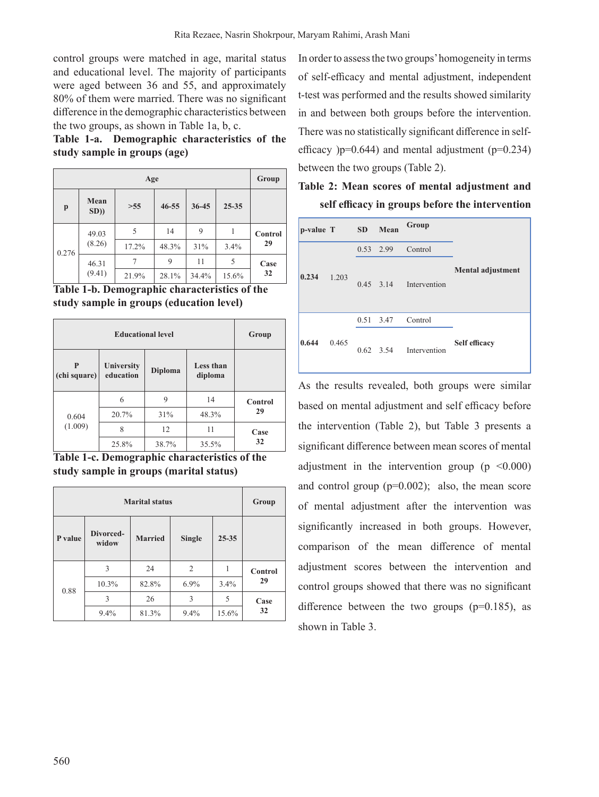control groups were matched in age, marital status and educational level. The majority of participants were aged between 36 and 55, and approximately 80% of them were married. There was no significant difference in the demographic characteristics between the two groups, as shown in Table 1a, b, c.

**Table 1-a. Demographic characteristics of the study sample in groups (age)**

|              | Group           |       |           |           |           |         |
|--------------|-----------------|-------|-----------|-----------|-----------|---------|
| $\mathbf{p}$ | Mean<br>SD))    | >55   | $46 - 55$ | $36 - 45$ | $25 - 35$ |         |
| 0.276        | 49.03<br>(8.26) | 5     | 14        | 9         |           | Control |
|              |                 | 17.2% | 48.3%     | 31%       | 3.4%      | 29      |
|              | 46.31<br>(9.41) | 7     | 9         | 11        | 5         | Case    |
|              |                 | 21.9% | 28.1%     | 34.4%     | 15.6%     | 32      |



|                   | Group                   |                |                      |                |
|-------------------|-------------------------|----------------|----------------------|----------------|
| P<br>(chi square) | University<br>education | <b>Diploma</b> | Less than<br>diploma |                |
|                   | 6                       | 9              | 14                   | <b>Control</b> |
| 0.604             | 20.7%                   | 31%            | 48.3%                | 29             |
| (1.009)           | 8                       | 12             | 11                   | Case           |
|                   | 25.8%                   | 38.7%          | 35.5%                | 32             |

**Table 1-c. Demographic characteristics of the study sample in groups (marital status)**

|         | Group              |                |               |           |         |  |
|---------|--------------------|----------------|---------------|-----------|---------|--|
| P value | Divorced-<br>widow | <b>Married</b> | <b>Single</b> | $25 - 35$ |         |  |
|         | 3                  | 24             | 2             | 1         | Control |  |
| 0.88    | 10.3%              | 82.8%          | 6.9%          | 3.4%      | 29      |  |
|         | 3                  | 26             | 3             | 5         | Case    |  |
|         | 9.4%               | 81.3%          | 9.4%          | 15.6%     | 32      |  |

In order to assess the two groups' homogeneity in terms of self-efficacy and mental adjustment, independent t-test was performed and the results showed similarity in and between both groups before the intervention. There was no statistically significant difference in selfefficacy  $)p=0.644$ ) and mental adjustment ( $p=0.234$ ) between the two groups (Table 2).

|  |  |  | Table 2: Mean scores of mental adjustment and   |  |
|--|--|--|-------------------------------------------------|--|
|  |  |  | self efficacy in groups before the intervention |  |

| p-value T |       | <b>SD</b>   | Mean        | Group        |                          |
|-----------|-------|-------------|-------------|--------------|--------------------------|
|           |       |             | $0.53$ 2.99 | Control      |                          |
| 0.234     | 1.203 | $0.45$ 3.14 |             | Intervention | <b>Mental adjustment</b> |
|           |       |             | 0.51 3.47   | Control      |                          |
| 0.644     | 0.465 |             | $0.62$ 3.54 | Intervention | Self efficacy            |

As the results revealed, both groups were similar based on mental adjustment and self efficacy before the intervention (Table 2), but Table 3 presents a significant difference between mean scores of mental adjustment in the intervention group  $(p \le 0.000)$ and control group  $(p=0.002)$ ; also, the mean score of mental adjustment after the intervention was significantly increased in both groups. However, comparison of the mean difference of mental adjustment scores between the intervention and control groups showed that there was no significant difference between the two groups ( $p=0.185$ ), as shown in Table 3.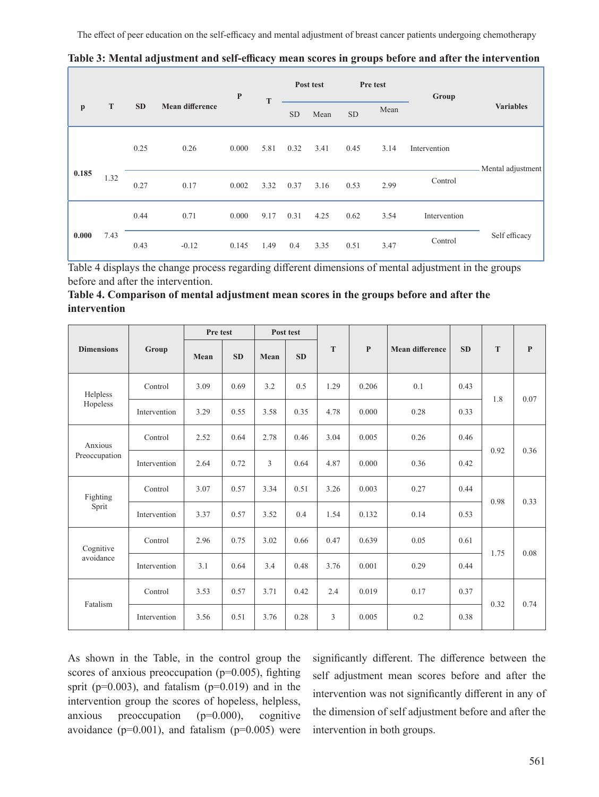The effect of peer education on the self-efficacy and mental adjustment of breast cancer patients undergoing chemotherapy

|              |      |           |                        | $\mathbf{P}$ |      |      | Post test |      | Pre test | Group        |                   |
|--------------|------|-----------|------------------------|--------------|------|------|-----------|------|----------|--------------|-------------------|
| $\mathbf{p}$ | T    | <b>SD</b> | <b>Mean difference</b> |              | T    |      | Mean      | SD   | Mean     |              | <b>Variables</b>  |
|              |      | 0.25      | 0.26                   | 0.000        | 5.81 | 0.32 | 3.41      | 0.45 | 3.14     | Intervention | Mental adjustment |
| 0.185        | 1.32 | 0.27      | 0.17                   | 0.002        | 3.32 | 0.37 | 3.16      | 0.53 | 2.99     | Control      |                   |
|              |      | 0.44      | 0.71                   | 0.000        | 9.17 | 0.31 | 4.25      | 0.62 | 3.54     | Intervention |                   |
| 0.000        | 7.43 | 0.43      | $-0.12$                | 0.145        | 1.49 | 0.4  | 3.35      | 0.51 | 3.47     | Control      | Self efficacy     |

**Table 3: Mental adjustment and self-efficacy mean scores in groups before and after the intervention**

г

Table 4 displays the change process regarding different dimensions of mental adjustment in the groups before and after the intervention.

| Table 4. Comparison of mental adjustment mean scores in the groups before and after the |  |  |
|-----------------------------------------------------------------------------------------|--|--|
| intervention                                                                            |  |  |

|                          |              | Pre test |           | Post test      |           |      |              |                        |           |      |              |
|--------------------------|--------------|----------|-----------|----------------|-----------|------|--------------|------------------------|-----------|------|--------------|
| <b>Dimensions</b>        | Group        | Mean     | <b>SD</b> | Mean           | <b>SD</b> | T    | $\mathbf{P}$ | <b>Mean difference</b> | <b>SD</b> | T    | $\mathbf{P}$ |
| Helpless                 | Control      | 3.09     | 0.69      | 3.2            | 0.5       | 1.29 | 0.206        | 0.1                    | 0.43      |      |              |
| Hopeless                 | Intervention | 3.29     | 0.55      | 3.58           | 0.35      | 4.78 | 0.000        | 0.28                   | 0.33      | 1.8  | 0.07         |
| Anxious<br>Preoccupation | Control      | 2.52     | 0.64      | 2.78           | 0.46      | 3.04 | 0.005        | 0.26                   | 0.46      | 0.92 | 0.36         |
|                          | Intervention | 2.64     | 0.72      | $\overline{3}$ | 0.64      | 4.87 | 0.000        | 0.36                   | 0.42      |      |              |
| Fighting                 | Control      | 3.07     | 0.57      | 3.34           | 0.51      | 3.26 | 0.003        | 0.27                   | 0.44      | 0.98 |              |
| Sprit                    | Intervention | 3.37     | 0.57      | 3.52           | 0.4       | 1.54 | 0.132        | 0.14                   | 0.53      |      | 0.33         |
| Cognitive                | Control      | 2.96     | 0.75      | 3.02           | 0.66      | 0.47 | 0.639        | 0.05                   | 0.61      |      | 0.08         |
| avoidance                | Intervention | 3.1      | 0.64      | 3.4            | 0.48      | 3.76 | 0.001        | 0.29                   | 0.44      | 1.75 |              |
|                          | Control      | 3.53     | 0.57      | 3.71           | 0.42      | 2.4  | 0.019        | 0.17                   | 0.37      |      |              |
| Fatalism                 | Intervention | 3.56     | 0.51      | 3.76           | 0.28      | 3    | 0.005        | 0.2                    | 0.38      | 0.32 | 0.74         |

As shown in the Table, in the control group the scores of anxious preoccupation ( $p=0.005$ ), fighting sprit ( $p=0.003$ ), and fatalism ( $p=0.019$ ) and in the intervention group the scores of hopeless, helpless, anxious preoccupation (p=0.000), cognitive avoidance ( $p=0.001$ ), and fatalism ( $p=0.005$ ) were

significantly different. The difference between the self adjustment mean scores before and after the intervention was not significantly different in any of the dimension of self adjustment before and after the intervention in both groups.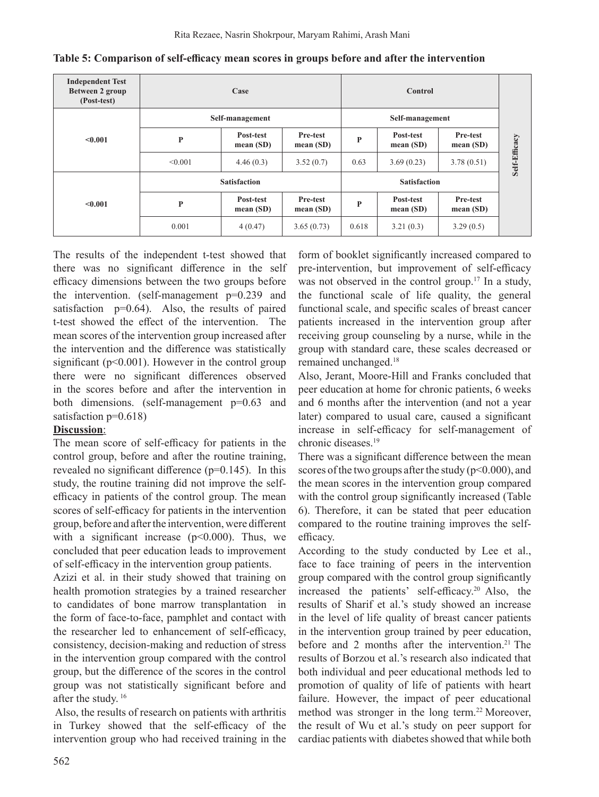| <b>Independent Test</b><br>Between 2 group<br>(Post-test) |         | Case                     |                         |              |                          |                         |               |
|-----------------------------------------------------------|---------|--------------------------|-------------------------|--------------|--------------------------|-------------------------|---------------|
| < 0.001                                                   |         | Self-management          |                         |              |                          |                         |               |
|                                                           | P       | Post-test<br>mean(SD)    | Pre-test<br>mean $(SD)$ | $\mathbf{P}$ | Post-test<br>mean $(SD)$ | Pre-test<br>mean $(SD)$ | Self-Efficacy |
|                                                           | < 0.001 | 4.46(0.3)                | 3.52(0.7)               | 0.63         | 3.69(0.23)               | 3.78(0.51)              |               |
|                                                           |         | <b>Satisfaction</b>      |                         |              |                          |                         |               |
| < 0.001                                                   | P       | Post-test<br>mean $(SD)$ | Pre-test<br>mean $(SD)$ | P            | Post-test<br>mean $(SD)$ | Pre-test<br>mean $(SD)$ |               |
|                                                           | 0.001   | 4(0.47)                  | 3.65(0.73)              | 0.618        | 3.21(0.3)                | 3.29(0.5)               |               |

#### **Table 5: Comparison of self-efficacy mean scores in groups before and after the intervention**

The results of the independent t-test showed that there was no significant difference in the self efficacy dimensions between the two groups before the intervention. (self-management p=0.239 and satisfaction  $p=0.64$ ). Also, the results of paired t-test showed the effect of the intervention. The mean scores of the intervention group increased after the intervention and the difference was statistically significant ( $p<0.001$ ). However in the control group there were no significant differences observed in the scores before and after the intervention in both dimensions. (self-management p=0.63 and satisfaction p=0.618)

## **Discussion**:

The mean score of self-efficacy for patients in the control group, before and after the routine training, revealed no significant difference (p=0.145). In this study, the routine training did not improve the selfefficacy in patients of the control group. The mean scores of self-efficacy for patients in the intervention group, before and after the intervention, were different with a significant increase  $(p<0.000)$ . Thus, we concluded that peer education leads to improvement of self-efficacy in the intervention group patients.

Azizi et al. in their study showed that training on health promotion strategies by a trained researcher to candidates of bone marrow transplantation in the form of face-to-face, pamphlet and contact with the researcher led to enhancement of self-efficacy, consistency, decision-making and reduction of stress in the intervention group compared with the control group, but the difference of the scores in the control group was not statistically significant before and after the study. <sup>16</sup>

Also, the results of research on patients with arthritis in Turkey showed that the self-efficacy of the intervention group who had received training in the form of booklet significantly increased compared to pre-intervention, but improvement of self-efficacy was not observed in the control group.<sup>17</sup> In a study, the functional scale of life quality, the general functional scale, and specific scales of breast cancer patients increased in the intervention group after receiving group counseling by a nurse, while in the group with standard care, these scales decreased or remained unchanged.<sup>18</sup>

Also, Jerant, Moore-Hill and Franks concluded that peer education at home for chronic patients, 6 weeks and 6 months after the intervention (and not a year later) compared to usual care, caused a significant increase in self-efficacy for self-management of chronic diseases.19

There was a significant difference between the mean scores of the two groups after the study ( $p<0.000$ ), and the mean scores in the intervention group compared with the control group significantly increased (Table 6). Therefore, it can be stated that peer education compared to the routine training improves the selfefficacy.

According to the study conducted by Lee et al., face to face training of peers in the intervention group compared with the control group significantly increased the patients' self-efficacy.<sup>20</sup> Also, the results of Sharif et al.'s study showed an increase in the level of life quality of breast cancer patients in the intervention group trained by peer education, before and 2 months after the intervention.<sup>21</sup> The results of Borzou et al.'s research also indicated that both individual and peer educational methods led to promotion of quality of life of patients with heart failure. However, the impact of peer educational method was stronger in the long term.<sup>22</sup> Moreover, the result of Wu et al.'s study on peer support for cardiac patients with diabetes showed that while both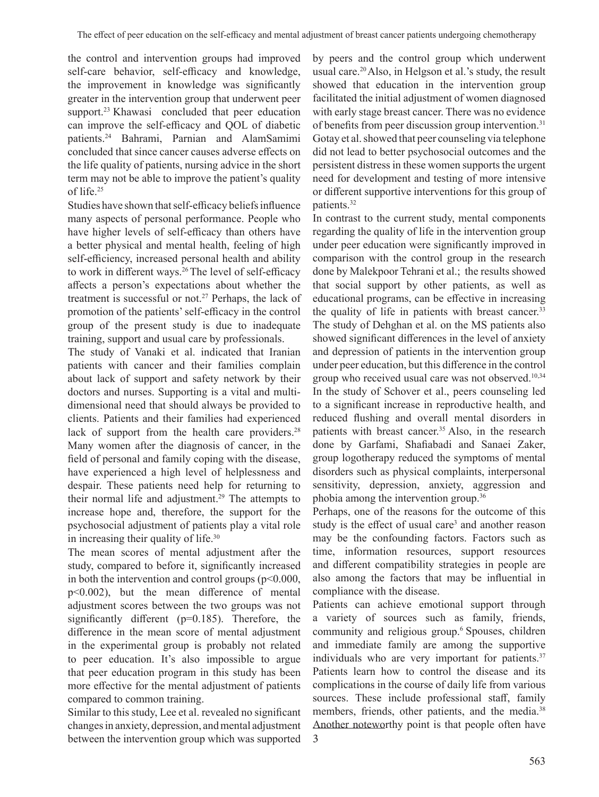the control and intervention groups had improved self-care behavior, self-efficacy and knowledge, the improvement in knowledge was significantly greater in the intervention group that underwent peer support.<sup>23</sup> Khawasi concluded that peer education can improve the self-efficacy and QOL of diabetic patients.<sup>24</sup> Bahrami, Parnian and AlamSamimi concluded that since cancer causes adverse effects on the life quality of patients, nursing advice in the short term may not be able to improve the patient's quality of life.25

Studies have shown that self-efficacy beliefs influence many aspects of personal performance. People who have higher levels of self-efficacy than others have a better physical and mental health, feeling of high self-efficiency, increased personal health and ability to work in different ways.<sup>26</sup> The level of self-efficacy affects a person's expectations about whether the treatment is successful or not.<sup>27</sup> Perhaps, the lack of promotion of the patients'self-efficacy in the control group of the present study is due to inadequate training, support and usual care by professionals.

The study of Vanaki et al. indicated that Iranian patients with cancer and their families complain about lack of support and safety network by their doctors and nurses. Supporting is a vital and multidimensional need that should always be provided to clients. Patients and their families had experienced lack of support from the health care providers.<sup>28</sup> Many women after the diagnosis of cancer, in the field of personal and family coping with the disease, have experienced a high level of helplessness and despair. These patients need help for returning to their normal life and adjustment.<sup>29</sup> The attempts to increase hope and, therefore, the support for the psychosocial adjustment of patients play a vital role in increasing their quality of life.<sup>30</sup>

The mean scores of mental adjustment after the study, compared to before it, significantly increased in both the intervention and control groups  $(p<0.000,$ p<0.002), but the mean difference of mental adjustment scores between the two groups was not significantly different (p=0.185). Therefore, the difference in the mean score of mental adjustment in the experimental group is probably not related to peer education. It's also impossible to argue that peer education program in this study has been more effective for the mental adjustment of patients compared to common training.

Similar to this study, Lee et al. revealed no significant changes in anxiety, depression, and mental adjustment between the intervention group which was supported

by peers and the control group which underwent usual care.20 Also, in Helgson et al.'s study, the result showed that education in the intervention group facilitated the initial adjustment of women diagnosed with early stage breast cancer. There was no evidence of benefits from peer discussion group intervention.<sup>31</sup> Gotay et al. showed that peer counseling via telephone did not lead to better psychosocial outcomes and the persistent distress in these women supports the urgent need for development and testing of more intensive or different supportive interventions for this group of patients.<sup>32</sup>

In contrast to the current study, mental components regarding the quality of life in the intervention group under peer education were significantly improved in comparison with the control group in the research done by Malekpoor Tehrani et al.; the results showed that social support by other patients, as well as educational programs, can be effective in increasing the quality of life in patients with breast cancer.<sup>33</sup> The study of Dehghan et al. on the MS patients also showed significant differences in the level of anxiety and depression of patients in the intervention group under peer education, but this difference in the control group who received usual care was not observed.10,34 In the study of Schover et al., peers counseling led to a significant increase in reproductive health, and reduced flushing and overall mental disorders in patients with breast cancer.<sup>35</sup> Also, in the research done by Garfami, Shafiabadi and Sanaei Zaker, group logotherapy reduced the symptoms of mental disorders such as physical complaints, interpersonal sensitivity, depression, anxiety, aggression and phobia among the intervention group.36

Perhaps, one of the reasons for the outcome of this study is the effect of usual care<sup>3</sup> and another reason may be the confounding factors. Factors such as time, information resources, support resources and different compatibility strategies in people are also among the factors that may be influential in compliance with the disease.

Patients can achieve emotional support through a variety of sources such as family, friends, community and religious group.6 Spouses, children and immediate family are among the supportive individuals who are very important for patients.<sup>37</sup> Patients learn how to control the disease and its complications in the course of daily life from various sources. These include professional staff, family members, friends, other patients, and the media.<sup>38</sup> Another noteworthy point is that people often have 3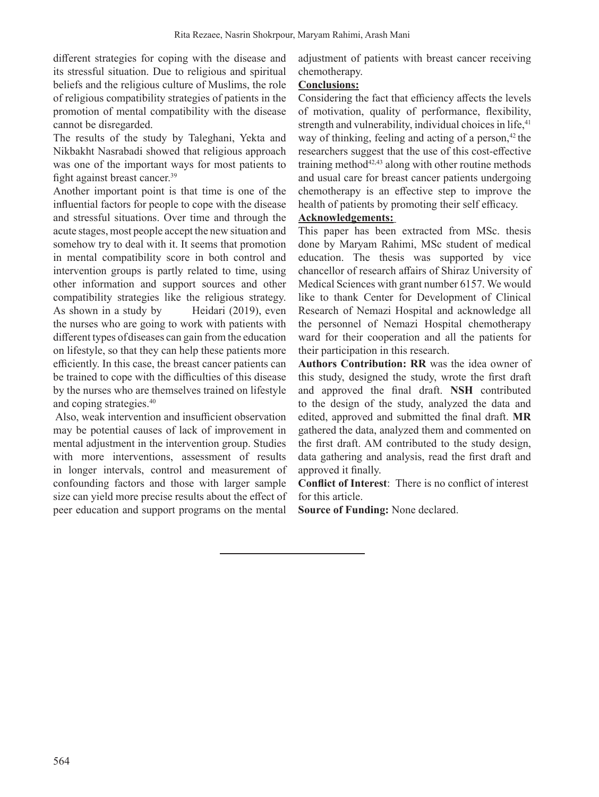different strategies for coping with the disease and its stressful situation. Due to religious and spiritual beliefs and the religious culture of Muslims, the role of religious compatibility strategies of patients in the promotion of mental compatibility with the disease cannot be disregarded.

The results of the study by Taleghani, Yekta and Nikbakht Nasrabadi showed that religious approach was one of the important ways for most patients to fight against breast cancer.<sup>39</sup>

Another important point is that time is one of the influential factors for people to cope with the disease and stressful situations. Over time and through the acute stages, most people accept the new situation and somehow try to deal with it. It seems that promotion in mental compatibility score in both control and intervention groups is partly related to time, using other information and support sources and other compatibility strategies like the religious strategy. As shown in a study by Heidari (2019), even the nurses who are going to work with patients with different types ofdiseases can gain from the education on lifestyle, so that they can help these patients more efficiently. In this case, the breast cancer patients can be trained to cope with the difficulties of this disease by the nurses who are themselves trained on lifestyle and coping strategies.<sup>40</sup>

Also, weak intervention and insufficient observation may be potential causes of lack of improvement in mental adjustment in the intervention group. Studies with more interventions, assessment of results in longer intervals, control and measurement of confounding factors and those with larger sample size can yield more precise results about the effect of peer education and support programs on the mental adjustment of patients with breast cancer receiving chemotherapy.

## **Conclusions:**

Considering the fact that efficiency affects the levels of motivation, quality of performance, flexibility, strength and vulnerability, individual choices in life,<sup>41</sup> way of thinking, feeling and acting of a person,<sup>42</sup> the researchers suggest that the use of this cost-effective training method $42,43$  along with other routine methods and usual care for breast cancer patients undergoing chemotherapy is an effective step to improve the health of patients by promoting their self efficacy.

# **Acknowledgements:**

This paper has been extracted from MSc. thesis done by Maryam Rahimi, MSc student of medical education. The thesis was supported by vice chancellor of research affairs of Shiraz University of Medical Sciences with grant number 6157. We would like to thank Center for Development of Clinical Research of Nemazi Hospital and acknowledge all the personnel of Nemazi Hospital chemotherapy ward for their cooperation and all the patients for their participation in this research.

**Authors Contribution: RR** was the idea owner of this study, designed the study, wrote the first draft and approved the final draft. **NSH** contributed to the design of the study, analyzed the data and edited, approved and submitted the final draft. **MR**  gathered the data, analyzed them and commented on the first draft. AM contributed to the study design, data gathering and analysis, read the first draft and approved it finally.

**Conflict of Interest**: There is no conflict of interest for this article.

**Source of Funding:** None declared.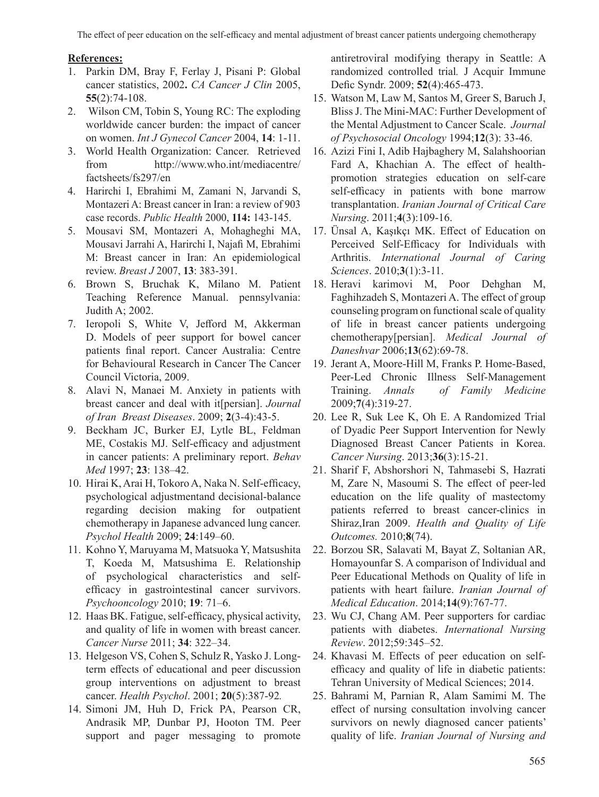# **References:**

- 1. Parkin DM, Bray F, Ferlay J, Pisani P: Global cancer statistics, 2002**.** *CA Cancer J Clin* 2005, **55**(2):74-108.
- 2. Wilson CM, Tobin S, Young RC: The exploding worldwide cancer burden: the impact of cancer on women. *Int J Gynecol Cancer* 2004, **14**: 1-11.
- 3. World Health Organization: Cancer. Retrieved from http://www.who.int/mediacentre/ factsheets/fs297/en
- 4. Harirchi I, Ebrahimi M, Zamani N, Jarvandi S, Montazeri A: Breast cancer in Iran: a review of 903 case records. *Public Health* 2000, **114:** 143-145.
- 5. Mousavi SM, Montazeri A, Mohagheghi MA, Mousavi Jarrahi A, Harirchi I, Najafi M, Ebrahimi M: Breast cancer in Iran: An epidemiological review. *Breast J* 2007, **13**: 383-391.
- 6. Brown S, Bruchak K, Milano M. Patient Teaching Reference Manual. pennsylvania: Judith A; 2002.
- 7. Ieropoli S, White V, Jefford M, Akkerman D. Models of peer support for bowel cancer patients final report. Cancer Australia: Centre for Behavioural Research in Cancer The Cancer Council Victoria, 2009.
- 8. Alavi N, Manaei M. Anxiety in patients with breast cancer and deal with it[persian]. *Journal of Iran Breast Diseases*. 2009; **2**(3-4):43-5.
- 9. Beckham JC, Burker EJ, Lytle BL, Feldman ME, Costakis MJ. Self-efficacy and adjustment in cancer patients: A preliminary report. *Behav Med* 1997; **23**: 138–42.
- 10. Hirai K, Arai H, Tokoro A, Naka N. Self-efficacy, psychological adjustmentand decisional-balance regarding decision making for outpatient chemotherapy in Japanese advanced lung cancer. *Psychol Health* 2009; **24**:149–60.
- 11. Kohno Y, Maruyama M, Matsuoka Y, Matsushita T, Koeda M, Matsushima E. Relationship of psychological characteristics and selfefficacy in gastrointestinal cancer survivors. *Psychooncology* 2010; **19**: 71–6.
- 12. Haas BK. Fatigue, self-efficacy, physical activity, and quality of life in women with breast cancer. *Cancer Nurse* 2011; **34**: 322–34.
- 13. Helgeson VS, Cohen S, Schulz R, Yasko J. Longterm effects of educational and peer discussion group interventions on adjustment to breast cancer. *Health Psychol*. 2001; **20**(5):387-92*.*
- 14. Simoni JM, Huh D, Frick PA, Pearson CR, Andrasik MP, Dunbar PJ, Hooton TM. Peer support and pager messaging to promote

antiretroviral modifying therapy in Seattle: A randomized controlled trial*.* J Acquir Immune Defic Syndr. 2009; **52**(4):465-473.

- 15. Watson M, Law M, Santos M, Greer S, Baruch J, Bliss J. The Mini-MAC: Further Development of the Mental Adjustment to Cancer Scale. *Journal of Psychosocial Oncology* 1994;**12**(3): 33-46.
- 16. Azizi Fini I, Adib Hajbaghery M, Salahshoorian Fard A, Khachian A. The effect of healthpromotion strategies education on self-care self-efficacy in patients with bone marrow transplantation. *Iranian Journal of Critical Care Nursing*. 2011;**4**(3):109-16.
- 17. Ünsal A, Kaşıkçı MK. Effect of Education on Perceived Self-Efficacy for Individuals with Arthritis. *International Journal of Caring Sciences*. 2010;**3**(1):3-11.
- 18. Heravi karimovi M, Poor Dehghan M, Faghihzadeh S, Montazeri A. The effect of group counseling program on functional scale of quality of life in breast cancer patients undergoing chemotherapy[persian]. *Medical Journal of Daneshvar* 2006;**13**(62):69-78.
- 19. Jerant A, Moore-Hill M, Franks P. Home-Based, Peer-Led Chronic Illness Self-Management Training. *Annals of Family Medicine* 2009;**7**(4):319-27.
- 20. Lee R, Suk Lee K, Oh E. A Randomized Trial of Dyadic Peer Support Intervention for Newly Diagnosed Breast Cancer Patients in Korea. *Cancer Nursing*. 2013;**36**(3):15-21.
- 21. Sharif F, Abshorshori N, Tahmasebi S, Hazrati M, Zare N, Masoumi S. The effect of peer-led education on the life quality of mastectomy patients referred to breast cancer-clinics in Shiraz,Iran 2009. *Health and Quality of Life Outcomes.* 2010;**8**(74).
- 22. Borzou SR, Salavati M, Bayat Z, Soltanian AR, Homayounfar S. A comparison of Individual and Peer Educational Methods on Quality of life in patients with heart failure. *Iranian Journal of Medical Education*. 2014;**14**(9):767-77.
- 23. Wu CJ, Chang AM. Peer supporters for cardiac patients with diabetes. *International Nursing Review*. 2012;59:345–52.
- 24. Khavasi M. Effects of peer education on selfefficacy and quality of life in diabetic patients: Tehran University of Medical Sciences; 2014.
- 25. Bahrami M, Parnian R, Alam Samimi M. The effect of nursing consultation involving cancer survivors on newly diagnosed cancer patients' quality of life. *Iranian Journal of Nursing and*